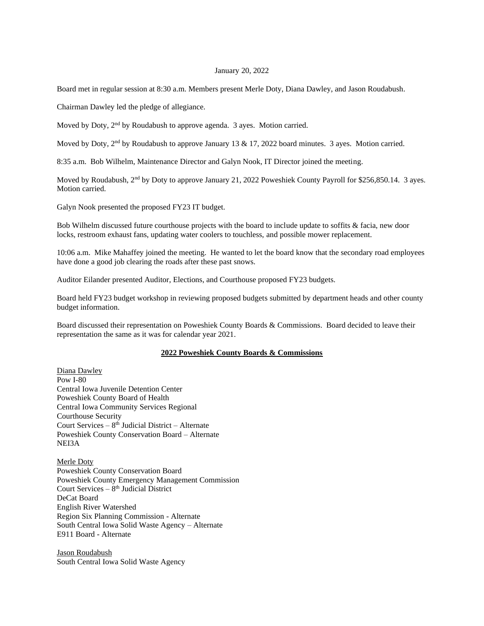## January 20, 2022

Board met in regular session at 8:30 a.m. Members present Merle Doty, Diana Dawley, and Jason Roudabush.

Chairman Dawley led the pledge of allegiance.

Moved by Doty, 2<sup>nd</sup> by Roudabush to approve agenda. 3 ayes. Motion carried.

Moved by Doty, 2<sup>nd</sup> by Roudabush to approve January 13 & 17, 2022 board minutes. 3 ayes. Motion carried.

8:35 a.m. Bob Wilhelm, Maintenance Director and Galyn Nook, IT Director joined the meeting.

Moved by Roudabush, 2<sup>nd</sup> by Doty to approve January 21, 2022 Poweshiek County Payroll for \$256,850.14. 3 ayes. Motion carried.

Galyn Nook presented the proposed FY23 IT budget.

Bob Wilhelm discussed future courthouse projects with the board to include update to soffits & facia, new door locks, restroom exhaust fans, updating water coolers to touchless, and possible mower replacement.

10:06 a.m. Mike Mahaffey joined the meeting. He wanted to let the board know that the secondary road employees have done a good job clearing the roads after these past snows.

Auditor Eilander presented Auditor, Elections, and Courthouse proposed FY23 budgets.

Board held FY23 budget workshop in reviewing proposed budgets submitted by department heads and other county budget information.

Board discussed their representation on Poweshiek County Boards & Commissions. Board decided to leave their representation the same as it was for calendar year 2021.

## **2022 Poweshiek County Boards & Commissions**

Diana Dawley Pow I-80 Central Iowa Juvenile Detention Center Poweshiek County Board of Health Central Iowa Community Services Regional Courthouse Security Court Services  $-8<sup>th</sup>$  Judicial District  $-$  Alternate Poweshiek County Conservation Board – Alternate NEI3A

Merle Doty Poweshiek County Conservation Board Poweshiek County Emergency Management Commission Court Services - 8<sup>th</sup> Judicial District DeCat Board English River Watershed Region Six Planning Commission - Alternate South Central Iowa Solid Waste Agency – Alternate E911 Board - Alternate

Jason Roudabush South Central Iowa Solid Waste Agency